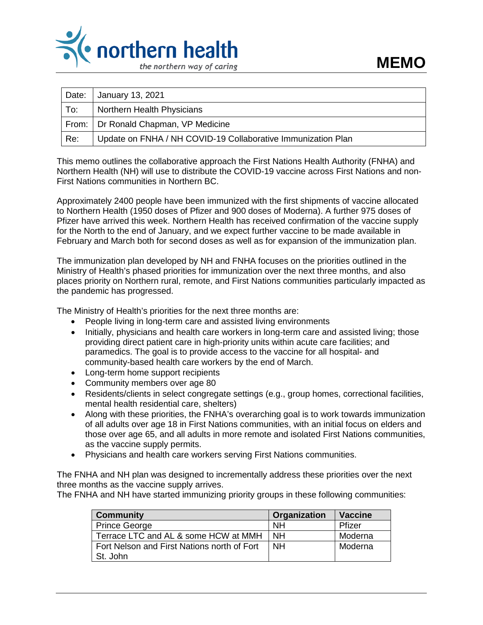

| Date: | January 13, 2021                                             |
|-------|--------------------------------------------------------------|
| To:   | Northern Health Physicians                                   |
|       | From:   Dr Ronald Chapman, VP Medicine                       |
| Re:   | Update on FNHA / NH COVID-19 Collaborative Immunization Plan |

This memo outlines the collaborative approach the First Nations Health Authority (FNHA) and Northern Health (NH) will use to distribute the COVID-19 vaccine across First Nations and non-First Nations communities in Northern BC.

Approximately 2400 people have been immunized with the first shipments of vaccine allocated to Northern Health (1950 doses of Pfizer and 900 doses of Moderna). A further 975 doses of Pfizer have arrived this week. Northern Health has received confirmation of the vaccine supply for the North to the end of January, and we expect further vaccine to be made available in February and March both for second doses as well as for expansion of the immunization plan.

The immunization plan developed by NH and FNHA focuses on the priorities outlined in the Ministry of Health's phased priorities for immunization over the next three months, and also places priority on Northern rural, remote, and First Nations communities particularly impacted as the pandemic has progressed.

The Ministry of Health's priorities for the next three months are:

- People living in long-term care and assisted living environments
- Initially, physicians and health care workers in long-term care and assisted living; those providing direct patient care in high-priority units within acute care facilities; and paramedics. The goal is to provide access to the vaccine for all hospital- and community-based health care workers by the end of March.
- Long-term home support recipients
- Community members over age 80
- Residents/clients in select congregate settings (e.g., group homes, correctional facilities, mental health residential care, shelters)
- Along with these priorities, the FNHA's overarching goal is to work towards immunization of all adults over age 18 in First Nations communities, with an initial focus on elders and those over age 65, and all adults in more remote and isolated First Nations communities, as the vaccine supply permits.
- Physicians and health care workers serving First Nations communities.

The FNHA and NH plan was designed to incrementally address these priorities over the next three months as the vaccine supply arrives.

The FNHA and NH have started immunizing priority groups in these following communities:

| <b>Community</b>                            | Organization | <b>Vaccine</b> |
|---------------------------------------------|--------------|----------------|
| <b>Prince George</b>                        | <b>NH</b>    | Pfizer         |
| Terrace LTC and AL & some HCW at MMH        | <b>NH</b>    | Moderna        |
| Fort Nelson and First Nations north of Fort | <b>NH</b>    | Moderna        |
| St. John                                    |              |                |